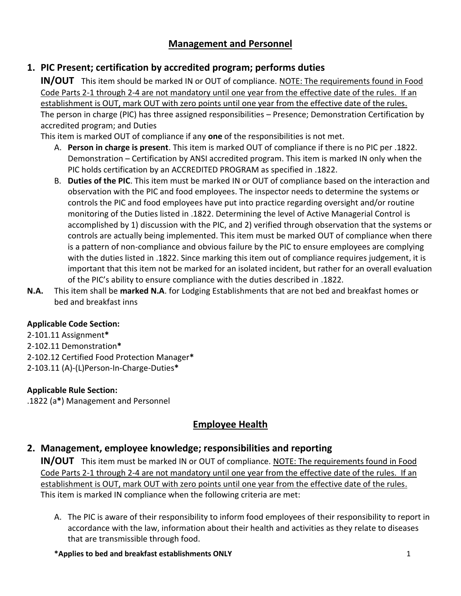## **Management and Personnel**

## **1. PIC Present; certification by accredited program; performs duties**

**IN/OUT** This item should be marked IN or OUT of compliance. NOTE: The requirements found in Food Code Parts 2-1 through 2-4 are not mandatory until one year from the effective date of the rules. If an establishment is OUT, mark OUT with zero points until one year from the effective date of the rules. The person in charge (PIC) has three assigned responsibilities – Presence; Demonstration Certification by accredited program; and Duties

This item is marked OUT of compliance if any **one** of the responsibilities is not met.

- A. **Person in charge is present**. This item is marked OUT of compliance if there is no PIC per .1822. Demonstration – Certification by ANSI accredited program. This item is marked IN only when the PIC holds certification by an ACCREDITED PROGRAM as specified in .1822.
- B. **Duties of the PIC**. This item must be marked IN or OUT of compliance based on the interaction and observation with the PIC and food employees. The inspector needs to determine the systems or controls the PIC and food employees have put into practice regarding oversight and/or routine monitoring of the Duties listed in .1822. Determining the level of Active Managerial Control is accomplished by 1) discussion with the PIC, and 2) verified through observation that the systems or controls are actually being implemented. This item must be marked OUT of compliance when there is a pattern of non-compliance and obvious failure by the PIC to ensure employees are complying with the duties listed in .1822. Since marking this item out of compliance requires judgement, it is important that this item not be marked for an isolated incident, but rather for an overall evaluation of the PIC's ability to ensure compliance with the duties described in .1822.
- **N.A.** This item shall be **marked N.A**. for Lodging Establishments that are not bed and breakfast homes or bed and breakfast inns

### **Applicable Code Section:**

2-101.11 Assignment**\*** 2-102.11 Demonstration**\*** 2-102.12 Certified Food Protection Manager**\*** 2-103.11 (A)-(L)Person-In-Charge-Duties**\***

### **Applicable Rule Section:**

.1822 (a**\***) Management and Personnel

## **Employee Health**

## **2. Management, employee knowledge; responsibilities and reporting**

**IN/OUT** This item must be marked IN or OUT of compliance. NOTE: The requirements found in Food Code Parts 2-1 through 2-4 are not mandatory until one year from the effective date of the rules. If an establishment is OUT, mark OUT with zero points until one year from the effective date of the rules. This item is marked IN compliance when the following criteria are met:

A. The PIC is aware of their responsibility to inform food employees of their responsibility to report in accordance with the law, information about their health and activities as they relate to diseases that are transmissible through food.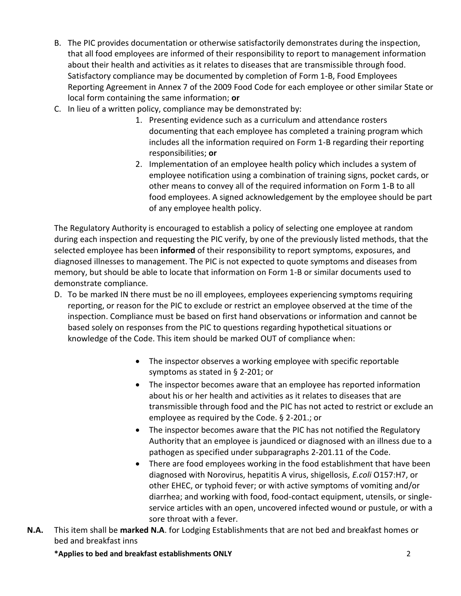- B. The PIC provides documentation or otherwise satisfactorily demonstrates during the inspection, that all food employees are informed of their responsibility to report to management information about their health and activities as it relates to diseases that are transmissible through food. Satisfactory compliance may be documented by completion of Form 1-B, Food Employees Reporting Agreement in Annex 7 of the 2009 Food Code for each employee or other similar State or local form containing the same information; **or**
- C. In lieu of a written policy, compliance may be demonstrated by:
	- 1. Presenting evidence such as a curriculum and attendance rosters documenting that each employee has completed a training program which includes all the information required on Form 1-B regarding their reporting responsibilities; **or**
	- 2. Implementation of an employee health policy which includes a system of employee notification using a combination of training signs, pocket cards, or other means to convey all of the required information on Form 1-B to all food employees. A signed acknowledgement by the employee should be part of any employee health policy.

The Regulatory Authority is encouraged to establish a policy of selecting one employee at random during each inspection and requesting the PIC verify, by one of the previously listed methods, that the selected employee has been **informed** of their responsibility to report symptoms, exposures, and diagnosed illnesses to management. The PIC is not expected to quote symptoms and diseases from memory, but should be able to locate that information on Form 1-B or similar documents used to demonstrate compliance.

- D. To be marked IN there must be no ill employees, employees experiencing symptoms requiring reporting, or reason for the PIC to exclude or restrict an employee observed at the time of the inspection. Compliance must be based on first hand observations or information and cannot be based solely on responses from the PIC to questions regarding hypothetical situations or knowledge of the Code. This item should be marked OUT of compliance when:
	- The inspector observes a working employee with specific reportable symptoms as stated in § 2-201; or
	- The inspector becomes aware that an employee has reported information about his or her health and activities as it relates to diseases that are transmissible through food and the PIC has not acted to restrict or exclude an employee as required by the Code. § 2-201.; or
	- The inspector becomes aware that the PIC has not notified the Regulatory Authority that an employee is jaundiced or diagnosed with an illness due to a pathogen as specified under subparagraphs 2-201.11 of the Code.
	- There are food employees working in the food establishment that have been diagnosed with Norovirus, hepatitis A virus, shigellosis, *E.coli* O157:H7, or other EHEC, or typhoid fever; or with active symptoms of vomiting and/or diarrhea; and working with food, food-contact equipment, utensils, or singleservice articles with an open, uncovered infected wound or pustule, or with a sore throat with a fever.
- **N.A.** This item shall be **marked N.A**. for Lodging Establishments that are not bed and breakfast homes or bed and breakfast inns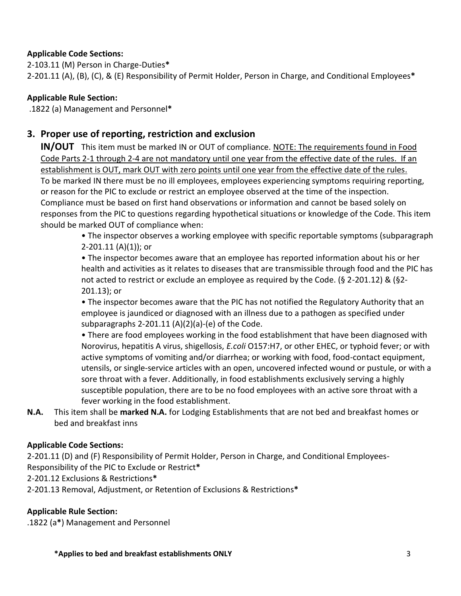### **Applicable Code Sections:**

2-103.11 (M) Person in Charge-Duties**\*** 2-201.11 (A), (B), (C), & (E) Responsibility of Permit Holder, Person in Charge, and Conditional Employees**\***

### **Applicable Rule Section:**

.1822 (a) Management and Personnel**\***

## **3. Proper use of reporting, restriction and exclusion**

**IN/OUT** This item must be marked IN or OUT of compliance. NOTE: The requirements found in Food Code Parts 2-1 through 2-4 are not mandatory until one year from the effective date of the rules. If an establishment is OUT, mark OUT with zero points until one year from the effective date of the rules. To be marked IN there must be no ill employees, employees experiencing symptoms requiring reporting, or reason for the PIC to exclude or restrict an employee observed at the time of the inspection. Compliance must be based on first hand observations or information and cannot be based solely on responses from the PIC to questions regarding hypothetical situations or knowledge of the Code. This item should be marked OUT of compliance when:

> • The inspector observes a working employee with specific reportable symptoms (subparagraph 2-201.11 (A)(1)); or

> • The inspector becomes aware that an employee has reported information about his or her health and activities as it relates to diseases that are transmissible through food and the PIC has not acted to restrict or exclude an employee as required by the Code. (§ 2-201.12) & (§2- 201.13); or

• The inspector becomes aware that the PIC has not notified the Regulatory Authority that an employee is jaundiced or diagnosed with an illness due to a pathogen as specified under subparagraphs 2-201.11 (A)(2)(a)-(e) of the Code.

• There are food employees working in the food establishment that have been diagnosed with Norovirus, hepatitis A virus, shigellosis, *E.coli* O157:H7, or other EHEC, or typhoid fever; or with active symptoms of vomiting and/or diarrhea; or working with food, food-contact equipment, utensils, or single-service articles with an open, uncovered infected wound or pustule, or with a sore throat with a fever. Additionally, in food establishments exclusively serving a highly susceptible population, there are to be no food employees with an active sore throat with a fever working in the food establishment.

**N.A.** This item shall be **marked N.A.** for Lodging Establishments that are not bed and breakfast homes or bed and breakfast inns

### **Applicable Code Sections:**

2-201.11 (D) and (F) Responsibility of Permit Holder, Person in Charge, and Conditional Employees-Responsibility of the PIC to Exclude or Restrict**\***

2-201.12 Exclusions & Restrictions**\***

2-201.13 Removal, Adjustment, or Retention of Exclusions & Restrictions**\***

### **Applicable Rule Section:**

.1822 (a**\***) Management and Personnel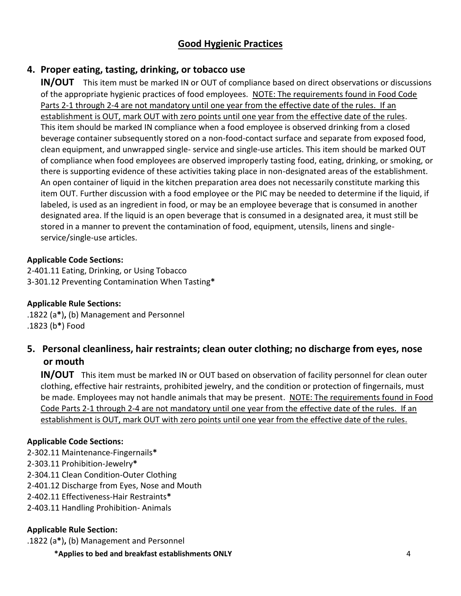## **Good Hygienic Practices**

## **4. Proper eating, tasting, drinking, or tobacco use**

**IN/OUT** This item must be marked IN or OUT of compliance based on direct observations or discussions of the appropriate hygienic practices of food employees. NOTE: The requirements found in Food Code Parts 2-1 through 2-4 are not mandatory until one year from the effective date of the rules. If an establishment is OUT, mark OUT with zero points until one year from the effective date of the rules. This item should be marked IN compliance when a food employee is observed drinking from a closed beverage container subsequently stored on a non-food-contact surface and separate from exposed food, clean equipment, and unwrapped single- service and single-use articles. This item should be marked OUT of compliance when food employees are observed improperly tasting food, eating, drinking, or smoking, or there is supporting evidence of these activities taking place in non-designated areas of the establishment. An open container of liquid in the kitchen preparation area does not necessarily constitute marking this item OUT. Further discussion with a food employee or the PIC may be needed to determine if the liquid, if labeled, is used as an ingredient in food, or may be an employee beverage that is consumed in another designated area. If the liquid is an open beverage that is consumed in a designated area, it must still be stored in a manner to prevent the contamination of food, equipment, utensils, linens and singleservice/single-use articles.

### **Applicable Code Sections:**

2-401.11 Eating, Drinking, or Using Tobacco 3-301.12 Preventing Contamination When Tasting**\***

### **Applicable Rule Sections:**

.1822 (a**\***)**,** (b) Management and Personnel .1823 (b**\***) Food

## **5. Personal cleanliness, hair restraints; clean outer clothing; no discharge from eyes, nose or mouth**

**IN/OUT** This item must be marked IN or OUT based on observation of facility personnel for clean outer clothing, effective hair restraints, prohibited jewelry, and the condition or protection of fingernails, must be made. Employees may not handle animals that may be present. NOTE: The requirements found in Food Code Parts 2-1 through 2-4 are not mandatory until one year from the effective date of the rules. If an establishment is OUT, mark OUT with zero points until one year from the effective date of the rules.

### **Applicable Code Sections:**

- 2-302.11 Maintenance-Fingernails**\***
- 2-303.11 Prohibition-Jewelry**\***
- 2-304.11 Clean Condition-Outer Clothing
- 2-401.12 Discharge from Eyes, Nose and Mouth
- 2-402.11 Effectiveness-Hair Restraints**\***
- 2-403.11 Handling Prohibition- Animals

### **Applicable Rule Section:**

.1822 (a**\***)**,** (b) Management and Personnel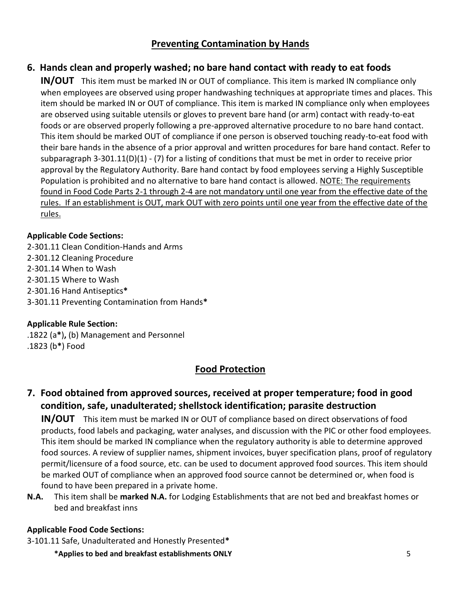## **Preventing Contamination by Hands**

## **6. Hands clean and properly washed; no bare hand contact with ready to eat foods**

**IN/OUT** This item must be marked IN or OUT of compliance. This item is marked IN compliance only when employees are observed using proper handwashing techniques at appropriate times and places. This item should be marked IN or OUT of compliance. This item is marked IN compliance only when employees are observed using suitable utensils or gloves to prevent bare hand (or arm) contact with ready-to-eat foods or are observed properly following a pre-approved alternative procedure to no bare hand contact. This item should be marked OUT of compliance if one person is observed touching ready-to-eat food with their bare hands in the absence of a prior approval and written procedures for bare hand contact. Refer to subparagraph 3-301.11(D)(1) - (7) for a listing of conditions that must be met in order to receive prior approval by the Regulatory Authority. Bare hand contact by food employees serving a Highly Susceptible Population is prohibited and no alternative to bare hand contact is allowed. NOTE: The requirements found in Food Code Parts 2-1 through 2-4 are not mandatory until one year from the effective date of the rules. If an establishment is OUT, mark OUT with zero points until one year from the effective date of the rules.

### **Applicable Code Sections:**

2-301.11 Clean Condition-Hands and Arms 2-301.12 Cleaning Procedure 2-301.14 When to Wash 2-301.15 Where to Wash 2-301.16 Hand Antiseptics**\*** 3-301.11 Preventing Contamination from Hands**\***

### **Applicable Rule Section:**

.1822 (a**\***)**,** (b) Management and Personnel .1823 (b**\***) Food

# **Food Protection**

## **7. Food obtained from approved sources, received at proper temperature; food in good condition, safe, unadulterated; shellstock identification; parasite destruction**

**IN/OUT** This item must be marked IN or OUT of compliance based on direct observations of food products, food labels and packaging, water analyses, and discussion with the PIC or other food employees. This item should be marked IN compliance when the regulatory authority is able to determine approved food sources. A review of supplier names, shipment invoices, buyer specification plans, proof of regulatory permit/licensure of a food source, etc. can be used to document approved food sources. This item should be marked OUT of compliance when an approved food source cannot be determined or, when food is found to have been prepared in a private home.

**N.A.** This item shall be **marked N.A.** for Lodging Establishments that are not bed and breakfast homes or bed and breakfast inns

### **Applicable Food Code Sections:**

3-101.11 Safe, Unadulterated and Honestly Presented**\***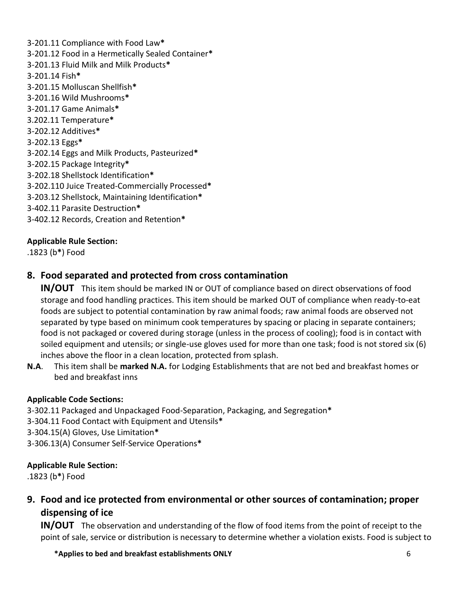3-201.11 Compliance with Food Law**\*** 3-201.12 Food in a Hermetically Sealed Container**\*** 3-201.13 Fluid Milk and Milk Products**\*** 3-201.14 Fish**\*** 3-201.15 Molluscan Shellfish**\*** 3-201.16 Wild Mushrooms**\*** 3-201.17 Game Animals**\*** 3.202.11 Temperature**\*** 3-202.12 Additives**\*** 3-202.13 Eggs**\*** 3-202.14 Eggs and Milk Products, Pasteurized**\*** 3-202.15 Package Integrity**\*** 3-202.18 Shellstock Identification**\*** 3-202.110 Juice Treated-Commercially Processed**\*** 3-203.12 Shellstock, Maintaining Identification**\*** 3-402.11 Parasite Destruction**\*** 3-402.12 Records, Creation and Retention**\***

### **Applicable Rule Section:**

.1823 (b**\***) Food

## **8. Food separated and protected from cross contamination**

**IN/OUT** This item should be marked IN or OUT of compliance based on direct observations of food storage and food handling practices. This item should be marked OUT of compliance when ready-to-eat foods are subject to potential contamination by raw animal foods; raw animal foods are observed not separated by type based on minimum cook temperatures by spacing or placing in separate containers; food is not packaged or covered during storage (unless in the process of cooling); food is in contact with soiled equipment and utensils; or single-use gloves used for more than one task; food is not stored six (6) inches above the floor in a clean location, protected from splash.

**N.A**. This item shall be **marked N.A.** for Lodging Establishments that are not bed and breakfast homes or bed and breakfast inns

### **Applicable Code Sections:**

- 3-302.11 Packaged and Unpackaged Food-Separation, Packaging, and Segregation**\***
- 3-304.11 Food Contact with Equipment and Utensils**\***
- 3-304.15(A) Gloves, Use Limitation**\***
- 3-306.13(A) Consumer Self-Service Operations**\***

### **Applicable Rule Section:**

.1823 (b**\***) Food

## **9. Food and ice protected from environmental or other sources of contamination; proper dispensing of ice**

**IN/OUT** The observation and understanding of the flow of food items from the point of receipt to the point of sale, service or distribution is necessary to determine whether a violation exists. Food is subject to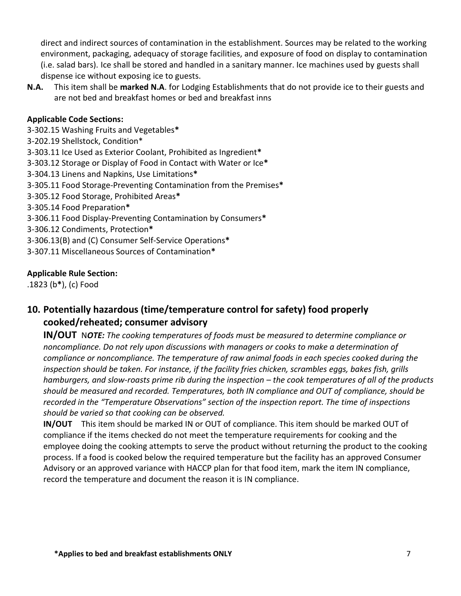direct and indirect sources of contamination in the establishment. Sources may be related to the working environment, packaging, adequacy of storage facilities, and exposure of food on display to contamination (i.e. salad bars). Ice shall be stored and handled in a sanitary manner. Ice machines used by guests shall dispense ice without exposing ice to guests.

**N.A.** This item shall be **marked N.A**. for Lodging Establishments that do not provide ice to their guests and are not bed and breakfast homes or bed and breakfast inns

#### **Applicable Code Sections:**

3-302.15 Washing Fruits and Vegetables**\*** 3-202.19 Shellstock, Condition\* 3-303.11 Ice Used as Exterior Coolant, Prohibited as Ingredient**\*** 3-303.12 Storage or Display of Food in Contact with Water or Ice**\*** 3-304.13 Linens and Napkins, Use Limitations**\*** 3-305.11 Food Storage-Preventing Contamination from the Premises**\*** 3-305.12 Food Storage, Prohibited Areas**\*** 3-305.14 Food Preparation**\*** 3-306.11 Food Display-Preventing Contamination by Consumers**\*** 3-306.12 Condiments, Protection**\*** 3-306.13(B) and (C) Consumer Self-Service Operations**\*** 3-307.11 Miscellaneous Sources of Contamination**\***

#### **Applicable Rule Section:**

.1823 (b**\***), (c) Food

## **10. Potentially hazardous (time/temperature control for safety) food properly cooked/reheated; consumer advisory**

**IN/OUT** N*OTE: The cooking temperatures of foods must be measured to determine compliance or noncompliance. Do not rely upon discussions with managers or cooks to make a determination of compliance or noncompliance. The temperature of raw animal foods in each species cooked during the inspection should be taken. For instance, if the facility fries chicken, scrambles eggs, bakes fish, grills hamburgers, and slow-roasts prime rib during the inspection – the cook temperatures of all of the products should be measured and recorded. Temperatures, both IN compliance and OUT of compliance, should be recorded in the "Temperature Observations" section of the inspection report. The time of inspections should be varied so that cooking can be observed.* 

**IN/OUT** This item should be marked IN or OUT of compliance. This item should be marked OUT of compliance if the items checked do not meet the temperature requirements for cooking and the employee doing the cooking attempts to serve the product without returning the product to the cooking process. If a food is cooked below the required temperature but the facility has an approved Consumer Advisory or an approved variance with HACCP plan for that food item, mark the item IN compliance, record the temperature and document the reason it is IN compliance.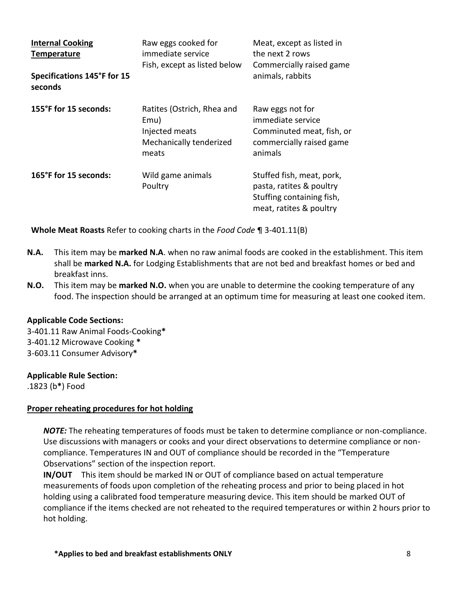| <b>Internal Cooking</b><br><b>Temperature</b> | Raw eggs cooked for<br>immediate service<br>Fish, except as listed below                 | Meat, except as listed in<br>the next 2 rows<br>Commercially raised game                                      |
|-----------------------------------------------|------------------------------------------------------------------------------------------|---------------------------------------------------------------------------------------------------------------|
| Specifications 145°F for 15<br>seconds        |                                                                                          | animals, rabbits                                                                                              |
| 155°F for 15 seconds:                         | Ratites (Ostrich, Rhea and<br>Emu)<br>Injected meats<br>Mechanically tenderized<br>meats | Raw eggs not for<br>immediate service<br>Comminuted meat, fish, or<br>commercially raised game<br>animals     |
| 165°F for 15 seconds:                         | Wild game animals<br>Poultry                                                             | Stuffed fish, meat, pork,<br>pasta, ratites & poultry<br>Stuffing containing fish,<br>meat, ratites & poultry |

**Whole Meat Roasts** Refer to cooking charts in the *Food Code* ¶ 3-401.11(B)

- **N.A.** This item may be **marked N.A**. when no raw animal foods are cooked in the establishment. This item shall be **marked N.A.** for Lodging Establishments that are not bed and breakfast homes or bed and breakfast inns.
- **N.O.** This item may be **marked N.O.** when you are unable to determine the cooking temperature of any food. The inspection should be arranged at an optimum time for measuring at least one cooked item.

#### **Applicable Code Sections:**

3-401.11 Raw Animal Foods-Cooking**\*** 3-401.12 Microwave Cooking **\*** 3-603.11 Consumer Advisory**\***

#### **Applicable Rule Section:**

.1823 (b**\***) Food

### **Proper reheating procedures for hot holding**

*NOTE:* The reheating temperatures of foods must be taken to determine compliance or non-compliance. Use discussions with managers or cooks and your direct observations to determine compliance or noncompliance. Temperatures IN and OUT of compliance should be recorded in the "Temperature Observations" section of the inspection report.

**IN/OUT** This item should be marked IN or OUT of compliance based on actual temperature measurements of foods upon completion of the reheating process and prior to being placed in hot holding using a calibrated food temperature measuring device. This item should be marked OUT of compliance if the items checked are not reheated to the required temperatures or within 2 hours prior to hot holding.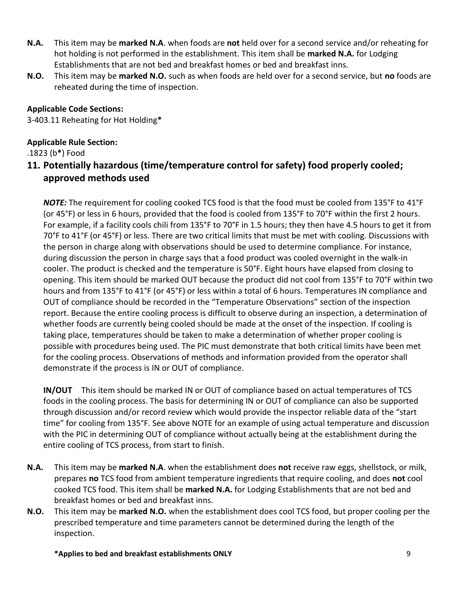- **N.A.** This item may be **marked N.A**. when foods are **not** held over for a second service and/or reheating for hot holding is not performed in the establishment. This item shall be **marked N.A.** for Lodging Establishments that are not bed and breakfast homes or bed and breakfast inns.
- **N.O.** This item may be **marked N.O.** such as when foods are held over for a second service, but **no** foods are reheated during the time of inspection.

### **Applicable Code Sections:**

3-403.11 Reheating for Hot Holding**\***

### **Applicable Rule Section:**

.1823 (b**\***) Food

## **11. Potentially hazardous (time/temperature control for safety) food properly cooled; approved methods used**

*NOTE:* The requirement for cooling cooked TCS food is that the food must be cooled from 135°F to 41°F (or 45°F) or less in 6 hours, provided that the food is cooled from 135°F to 70°F within the first 2 hours. For example, if a facility cools chili from 135°F to 70°F in 1.5 hours; they then have 4.5 hours to get it from 70°F to 41°F (or 45°F) or less. There are two critical limits that must be met with cooling. Discussions with the person in charge along with observations should be used to determine compliance. For instance, during discussion the person in charge says that a food product was cooled overnight in the walk-in cooler. The product is checked and the temperature is 50°F. Eight hours have elapsed from closing to opening. This item should be marked OUT because the product did not cool from 135°F to 70°F within two hours and from 135°F to 41°F (or 45°F) or less within a total of 6 hours. Temperatures IN compliance and OUT of compliance should be recorded in the "Temperature Observations" section of the inspection report. Because the entire cooling process is difficult to observe during an inspection, a determination of whether foods are currently being cooled should be made at the onset of the inspection. If cooling is taking place, temperatures should be taken to make a determination of whether proper cooling is possible with procedures being used. The PIC must demonstrate that both critical limits have been met for the cooling process. Observations of methods and information provided from the operator shall demonstrate if the process is IN or OUT of compliance.

**IN/OUT** This item should be marked IN or OUT of compliance based on actual temperatures of TCS foods in the cooling process. The basis for determining IN or OUT of compliance can also be supported through discussion and/or record review which would provide the inspector reliable data of the "start time" for cooling from 135°F. See above NOTE for an example of using actual temperature and discussion with the PIC in determining OUT of compliance without actually being at the establishment during the entire cooling of TCS process, from start to finish.

- **N.A.** This item may be **marked N.A**. when the establishment does **not** receive raw eggs, shellstock, or milk, prepares **no** TCS food from ambient temperature ingredients that require cooling, and does **not** cool cooked TCS food. This item shall be **marked N.A.** for Lodging Establishments that are not bed and breakfast homes or bed and breakfast inns.
- **N.O.** This item may be **marked N.O.** when the establishment does cool TCS food, but proper cooling per the prescribed temperature and time parameters cannot be determined during the length of the inspection.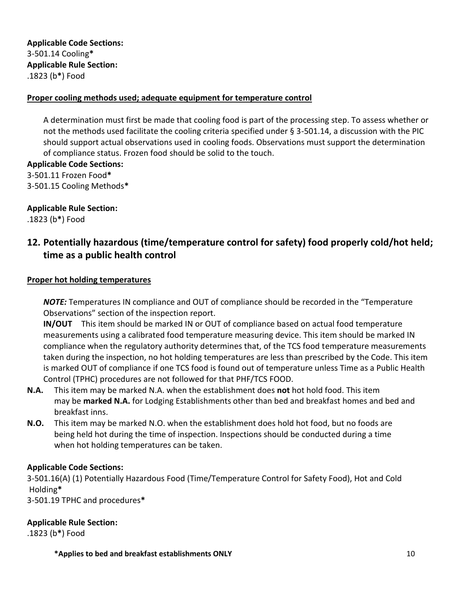**Applicable Code Sections:** 3-501.14 Cooling**\* Applicable Rule Section:** .1823 (b**\***) Food

#### **Proper cooling methods used; adequate equipment for temperature control**

A determination must first be made that cooling food is part of the processing step. To assess whether or not the methods used facilitate the cooling criteria specified under § 3-501.14, a discussion with the PIC should support actual observations used in cooling foods. Observations must support the determination of compliance status. Frozen food should be solid to the touch.

**Applicable Code Sections:** 

3-501.11 Frozen Food**\*** 3-501.15 Cooling Methods**\***

### **Applicable Rule Section:**

.1823 (b**\***) Food

## **12. Potentially hazardous (time/temperature control for safety) food properly cold/hot held; time as a public health control**

#### **Proper hot holding temperatures**

*NOTE:* Temperatures IN compliance and OUT of compliance should be recorded in the "Temperature Observations" section of the inspection report.

**IN/OUT** This item should be marked IN or OUT of compliance based on actual food temperature measurements using a calibrated food temperature measuring device. This item should be marked IN compliance when the regulatory authority determines that, of the TCS food temperature measurements taken during the inspection, no hot holding temperatures are less than prescribed by the Code. This item is marked OUT of compliance if one TCS food is found out of temperature unless Time as a Public Health Control (TPHC) procedures are not followed for that PHF/TCS FOOD.

- **N.A.** This item may be marked N.A. when the establishment does **not** hot hold food. This item may be **marked N.A.** for Lodging Establishments other than bed and breakfast homes and bed and breakfast inns.
- **N.O.** This item may be marked N.O. when the establishment does hold hot food, but no foods are being held hot during the time of inspection. Inspections should be conducted during a time when hot holding temperatures can be taken.

### **Applicable Code Sections:**

3-501.16(A) (1) Potentially Hazardous Food (Time/Temperature Control for Safety Food), Hot and Cold Holding**\***

3-501.19 TPHC and procedures**\***

#### **Applicable Rule Section:**

.1823 (b**\***) Food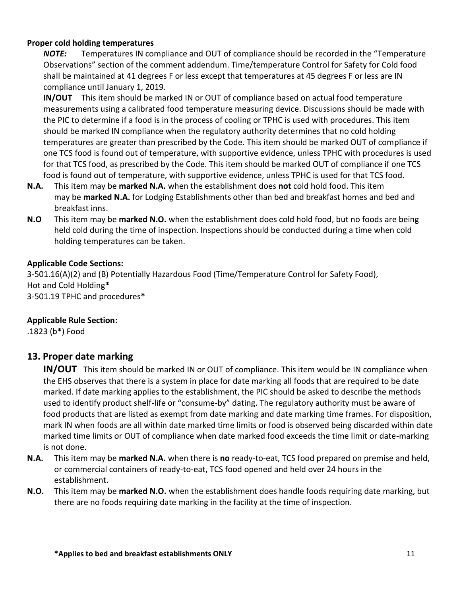#### **Proper cold holding temperatures**

*NOTE:* Temperatures IN compliance and OUT of compliance should be recorded in the "Temperature Observations" section of the comment addendum. Time/temperature Control for Safety for Cold food shall be maintained at 41 degrees F or less except that temperatures at 45 degrees F or less are IN compliance until January 1, 2019.

**IN/OUT** This item should be marked IN or OUT of compliance based on actual food temperature measurements using a calibrated food temperature measuring device. Discussions should be made with the PIC to determine if a food is in the process of cooling or TPHC is used with procedures. This item should be marked IN compliance when the regulatory authority determines that no cold holding temperatures are greater than prescribed by the Code. This item should be marked OUT of compliance if one TCS food is found out of temperature, with supportive evidence, unless TPHC with procedures is used for that TCS food, as prescribed by the Code. This item should be marked OUT of compliance if one TCS food is found out of temperature, with supportive evidence, unless TPHC is used for that TCS food.

- **N.A.** This item may be **marked N.A.** when the establishment does **not** cold hold food. This item may be **marked N.A.** for Lodging Establishments other than bed and breakfast homes and bed and breakfast inns.
- **N.O** This item may be **marked N.O.** when the establishment does cold hold food, but no foods are being held cold during the time of inspection. Inspections should be conducted during a time when cold holding temperatures can be taken.

#### **Applicable Code Sections:**

3-501.16(A)(2) and (B) Potentially Hazardous Food (Time/Temperature Control for Safety Food), Hot and Cold Holding**\*** 3-501.19 TPHC and procedures**\***

### **Applicable Rule Section:**

.1823 (b**\***) Food

### **13. Proper date marking**

**IN/OUT** This item should be marked IN or OUT of compliance. This item would be IN compliance when the EHS observes that there is a system in place for date marking all foods that are required to be date marked. If date marking applies to the establishment, the PIC should be asked to describe the methods used to identify product shelf-life or "consume-by" dating. The regulatory authority must be aware of food products that are listed as exempt from date marking and date marking time frames. For disposition, mark IN when foods are all within date marked time limits or food is observed being discarded within date marked time limits or OUT of compliance when date marked food exceeds the time limit or date-marking is not done.

- **N.A.** This item may be **marked N.A.** when there is **no** ready-to-eat, TCS food prepared on premise and held, or commercial containers of ready-to-eat, TCS food opened and held over 24 hours in the establishment.
- **N.O.** This item may be **marked N.O.** when the establishment does handle foods requiring date marking, but there are no foods requiring date marking in the facility at the time of inspection.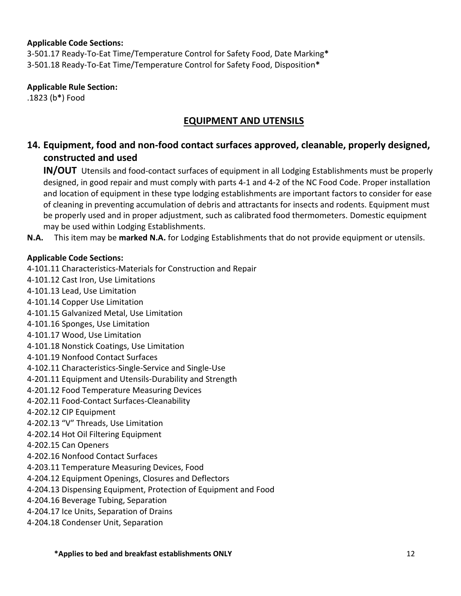#### **Applicable Code Sections:**

3-501.17 Ready-To-Eat Time/Temperature Control for Safety Food, Date Marking**\*** 3-501.18 Ready-To-Eat Time/Temperature Control for Safety Food, Disposition**\***

### **Applicable Rule Section:**

.1823 (b**\***) Food

## **EQUIPMENT AND UTENSILS**

## **14. Equipment, food and non-food contact surfaces approved, cleanable, properly designed, constructed and used**

**IN/OUT** Utensils and food-contact surfaces of equipment in all Lodging Establishments must be properly designed, in good repair and must comply with parts 4-1 and 4-2 of the NC Food Code. Proper installation and location of equipment in these type lodging establishments are important factors to consider for ease of cleaning in preventing accumulation of debris and attractants for insects and rodents. Equipment must be properly used and in proper adjustment, such as calibrated food thermometers. Domestic equipment may be used within Lodging Establishments.

**N.A.** This item may be **marked N.A.** for Lodging Establishments that do not provide equipment or utensils.

#### **Applicable Code Sections:**

4-101.11 Characteristics-Materials for Construction and Repair

- 4-101.12 Cast Iron, Use Limitations
- 4-101.13 Lead, Use Limitation
- 4-101.14 Copper Use Limitation
- 4-101.15 Galvanized Metal, Use Limitation
- 4-101.16 Sponges, Use Limitation
- 4-101.17 Wood, Use Limitation
- 4-101.18 Nonstick Coatings, Use Limitation
- 4-101.19 Nonfood Contact Surfaces
- 4-102.11 Characteristics-Single-Service and Single-Use
- 4-201.11 Equipment and Utensils-Durability and Strength
- 4-201.12 Food Temperature Measuring Devices
- 4-202.11 Food-Contact Surfaces-Cleanability
- 4-202.12 CIP Equipment
- 4-202.13 "V" Threads, Use Limitation
- 4-202.14 Hot Oil Filtering Equipment
- 4-202.15 Can Openers
- 4-202.16 Nonfood Contact Surfaces
- 4-203.11 Temperature Measuring Devices, Food
- 4-204.12 Equipment Openings, Closures and Deflectors
- 4-204.13 Dispensing Equipment, Protection of Equipment and Food
- 4-204.16 Beverage Tubing, Separation
- 4-204.17 Ice Units, Separation of Drains
- 4-204.18 Condenser Unit, Separation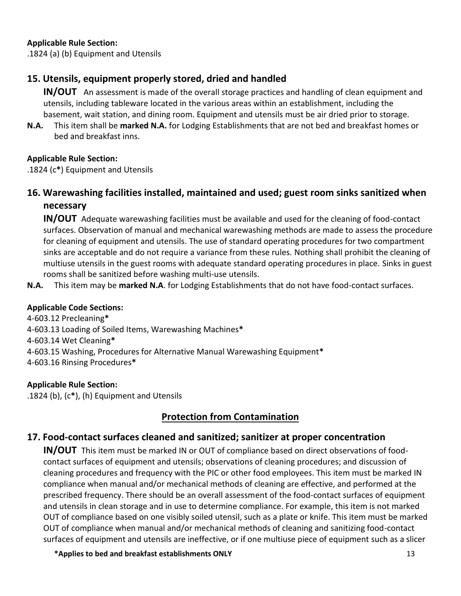#### **Applicable Rule Section:**

.1824 (a) (b) Equipment and Utensils

## **15. Utensils, equipment properly stored, dried and handled**

**IN/OUT** An assessment is made of the overall storage practices and handling of clean equipment and utensils, including tableware located in the various areas within an establishment, including the basement, wait station, and dining room. Equipment and utensils must be air dried prior to storage.

**N.A.** This item shall be **marked N.A.** for Lodging Establishments that are not bed and breakfast homes or bed and breakfast inns.

### **Applicable Rule Section:**

.1824 (c**\***) Equipment and Utensils

## **16. Warewashing facilities installed, maintained and used; guest room sinks sanitized when necessary**

**IN/OUT** Adequate warewashing facilities must be available and used for the cleaning of food-contact surfaces. Observation of manual and mechanical warewashing methods are made to assess the procedure for cleaning of equipment and utensils. The use of standard operating procedures for two compartment sinks are acceptable and do not require a variance from these rules. Nothing shall prohibit the cleaning of multiuse utensils in the guest rooms with adequate standard operating procedures in place. Sinks in guest rooms shall be sanitized before washing multi-use utensils.

**N.A.** This item may be **marked N.A**. for Lodging Establishments that do not have food-contact surfaces.

### **Applicable Code Sections:**

4-603.12 Precleaning**\*** 4-603.13 Loading of Soiled Items, Warewashing Machines**\*** 4-603.14 Wet Cleaning**\*** 4-603.15 Washing, Procedures for Alternative Manual Warewashing Equipment**\*** 4-603.16 Rinsing Procedures**\***

### **Applicable Rule Section:**

.1824 (b), (c**\***), (h) Equipment and Utensils

## **Protection from Contamination**

### **17. Food-contact surfaces cleaned and sanitized; sanitizer at proper concentration**

**IN/OUT** This item must be marked IN or OUT of compliance based on direct observations of foodcontact surfaces of equipment and utensils; observations of cleaning procedures; and discussion of cleaning procedures and frequency with the PIC or other food employees. This item must be marked IN compliance when manual and/or mechanical methods of cleaning are effective, and performed at the prescribed frequency. There should be an overall assessment of the food-contact surfaces of equipment and utensils in clean storage and in use to determine compliance. For example, this item is not marked OUT of compliance based on one visibly soiled utensil, such as a plate or knife. This item must be marked OUT of compliance when manual and/or mechanical methods of cleaning and sanitizing food-contact surfaces of equipment and utensils are ineffective, or if one multiuse piece of equipment such as a slicer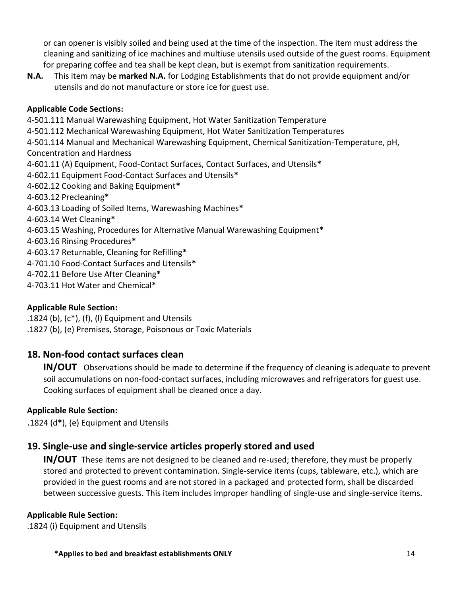or can opener is visibly soiled and being used at the time of the inspection. The item must address the cleaning and sanitizing of ice machines and multiuse utensils used outside of the guest rooms. Equipment for preparing coffee and tea shall be kept clean, but is exempt from sanitization requirements.

**N.A.** This item may be **marked N.A.** for Lodging Establishments that do not provide equipment and/or utensils and do not manufacture or store ice for guest use.

### **Applicable Code Sections:**

4-501.111 Manual Warewashing Equipment, Hot Water Sanitization Temperature 4-501.112 Mechanical Warewashing Equipment, Hot Water Sanitization Temperatures 4-501.114 Manual and Mechanical Warewashing Equipment, Chemical Sanitization-Temperature, pH, Concentration and Hardness 4-601.11 (A) Equipment, Food-Contact Surfaces, Contact Surfaces, and Utensils**\*** 4-602.11 Equipment Food-Contact Surfaces and Utensils**\*** 4-602.12 Cooking and Baking Equipment**\*** 4-603.12 Precleaning**\*** 4-603.13 Loading of Soiled Items, Warewashing Machines**\*** 4-603.14 Wet Cleaning**\*** 4-603.15 Washing, Procedures for Alternative Manual Warewashing Equipment**\*** 4-603.16 Rinsing Procedures**\*** 4-603.17 Returnable, Cleaning for Refilling**\*** 4-701.10 Food-Contact Surfaces and Utensils**\*** 4-702.11 Before Use After Cleaning**\*** 4-703.11 Hot Water and Chemical**\***

### **Applicable Rule Section:**

.1824 (b),  $(c<sup>*</sup>)$ ,  $(f)$ ,  $(l)$  Equipment and Utensils .1827 (b), (e) Premises, Storage, Poisonous or Toxic Materials

## **18. Non-food contact surfaces clean**

**IN/OUT** Observations should be made to determine if the frequency of cleaning is adequate to prevent soil accumulations on non-food-contact surfaces, including microwaves and refrigerators for guest use. Cooking surfaces of equipment shall be cleaned once a day.

### **Applicable Rule Section:**

.1824 (d**\***), (e) Equipment and Utensils

## **19. Single-use and single-service articles properly stored and used**

**IN/OUT** These items are not designed to be cleaned and re-used; therefore, they must be properly stored and protected to prevent contamination. Single-service items (cups, tableware, etc.), which are provided in the guest rooms and are not stored in a packaged and protected form, shall be discarded between successive guests. This item includes improper handling of single-use and single-service items.

### **Applicable Rule Section:**

.1824 (i) Equipment and Utensils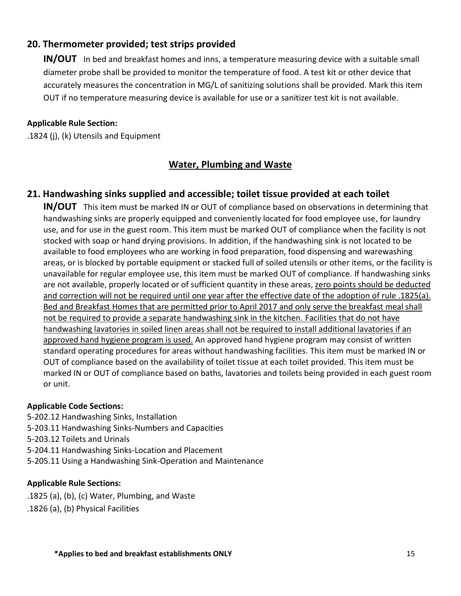## **20. Thermometer provided; test strips provided**

**IN/OUT** In bed and breakfast homes and inns, a temperature measuring device with a suitable small diameter probe shall be provided to monitor the temperature of food. A test kit or other device that accurately measures the concentration in MG/L of sanitizing solutions shall be provided. Mark this item OUT if no temperature measuring device is available for use or a sanitizer test kit is not available.

#### **Applicable Rule Section:**

.1824 (j), (k) Utensils and Equipment

## **Water, Plumbing and Waste**

### **21. Handwashing sinks supplied and accessible; toilet tissue provided at each toilet**

**IN/OUT** This item must be marked IN or OUT of compliance based on observations in determining that handwashing sinks are properly equipped and conveniently located for food employee use, for laundry use, and for use in the guest room. This item must be marked OUT of compliance when the facility is not stocked with soap or hand drying provisions. In addition, if the handwashing sink is not located to be available to food employees who are working in food preparation, food dispensing and warewashing areas, or is blocked by portable equipment or stacked full of soiled utensils or other items, or the facility is unavailable for regular employee use, this item must be marked OUT of compliance. If handwashing sinks are not available, properly located or of sufficient quantity in these areas, zero points should be deducted and correction will not be required until one year after the effective date of the adoption of rule .1825(a). Bed and Breakfast Homes that are permitted prior to April 2017 and only serve the breakfast meal shall not be required to provide a separate handwashing sink in the kitchen. Facilities that do not have handwashing lavatories in soiled linen areas shall not be required to install additional lavatories if an approved hand hygiene program is used. An approved hand hygiene program may consist of written standard operating procedures for areas without handwashing facilities. This item must be marked IN or OUT of compliance based on the availability of toilet tissue at each toilet provided. This item must be marked IN or OUT of compliance based on baths, lavatories and toilets being provided in each guest room or unit.

#### **Applicable Code Sections:**

5-202.12 Handwashing Sinks, Installation

- 5-203.11 Handwashing Sinks-Numbers and Capacities
- 5-203.12 Toilets and Urinals
- 5-204.11 Handwashing Sinks-Location and Placement
- 5-205.11 Using a Handwashing Sink-Operation and Maintenance

#### **Applicable Rule Sections:**

- .1825 (a), (b), (c) Water, Plumbing, and Waste
- .1826 (a), (b) Physical Facilities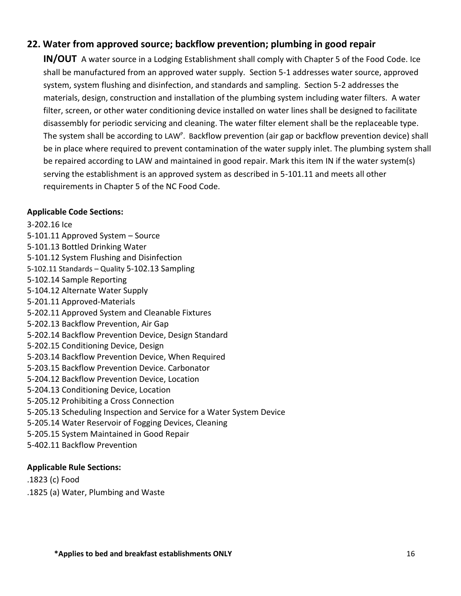### **22. Water from approved source; backflow prevention; plumbing in good repair**

**IN/OUT** A water source in a Lodging Establishment shall comply with Chapter 5 of the Food Code. Ice shall be manufactured from an approved water supply. Section 5-1 addresses water source, approved system, system flushing and disinfection, and standards and sampling. Section 5-2 addresses the materials, design, construction and installation of the plumbing system including water filters. A water filter, screen, or other water conditioning device installed on water lines shall be designed to facilitate disassembly for periodic servicing and cleaning. The water filter element shall be the replaceable type. The system shall be according to LAW<sup>P</sup>. Backflow prevention (air gap or backflow prevention device) shall be in place where required to prevent contamination of the water supply inlet. The plumbing system shall be repaired according to LAW and maintained in good repair. Mark this item IN if the water system(s) serving the establishment is an approved system as described in 5-101.11 and meets all other requirements in Chapter 5 of the NC Food Code.

#### **Applicable Code Sections:**

3-202.16 Ice 5-101.11 Approved System – Source 5-101.13 Bottled Drinking Water 5-101.12 System Flushing and Disinfection 5-102.11 Standards – Quality 5-102.13 Sampling 5-102.14 Sample Reporting 5-104.12 Alternate Water Supply 5-201.11 Approved-Materials 5-202.11 Approved System and Cleanable Fixtures 5-202.13 Backflow Prevention, Air Gap 5-202.14 Backflow Prevention Device, Design Standard 5-202.15 Conditioning Device, Design 5-203.14 Backflow Prevention Device, When Required 5-203.15 Backflow Prevention Device. Carbonator 5-204.12 Backflow Prevention Device, Location 5-204.13 Conditioning Device, Location 5-205.12 Prohibiting a Cross Connection 5-205.13 Scheduling Inspection and Service for a Water System Device 5-205.14 Water Reservoir of Fogging Devices, Cleaning 5-205.15 System Maintained in Good Repair 5-402.11 Backflow Prevention

### **Applicable Rule Sections:**

.1823 (c) Food

.1825 (a) Water, Plumbing and Waste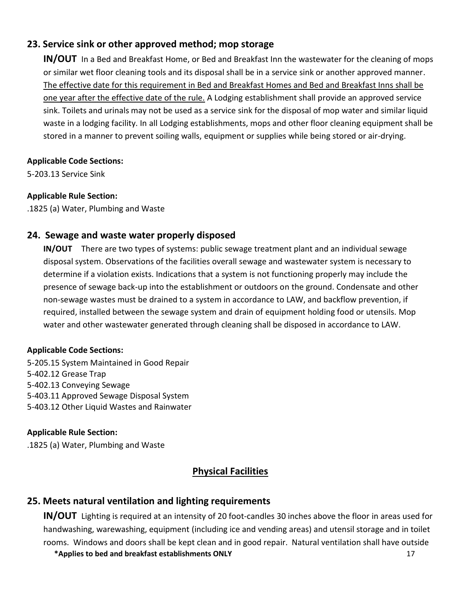## **23. Service sink or other approved method; mop storage**

**IN/OUT** In a Bed and Breakfast Home, or Bed and Breakfast Inn the wastewater for the cleaning of mops or similar wet floor cleaning tools and its disposal shall be in a service sink or another approved manner. The effective date for this requirement in Bed and Breakfast Homes and Bed and Breakfast Inns shall be one year after the effective date of the rule. A Lodging establishment shall provide an approved service sink. Toilets and urinals may not be used as a service sink for the disposal of mop water and similar liquid waste in a lodging facility. In all Lodging establishments, mops and other floor cleaning equipment shall be stored in a manner to prevent soiling walls, equipment or supplies while being stored or air-drying.

#### **Applicable Code Sections:**

5-203.13 Service Sink

#### **Applicable Rule Section:**

.1825 (a) Water, Plumbing and Waste

### **24. Sewage and waste water properly disposed**

**IN/OUT** There are two types of systems: public sewage treatment plant and an individual sewage disposal system. Observations of the facilities overall sewage and wastewater system is necessary to determine if a violation exists. Indications that a system is not functioning properly may include the presence of sewage back-up into the establishment or outdoors on the ground. Condensate and other non-sewage wastes must be drained to a system in accordance to LAW, and backflow prevention, if required, installed between the sewage system and drain of equipment holding food or utensils. Mop water and other wastewater generated through cleaning shall be disposed in accordance to LAW.

#### **Applicable Code Sections:**

5-205.15 System Maintained in Good Repair 5-402.12 Grease Trap 5-402.13 Conveying Sewage 5-403.11 Approved Sewage Disposal System 5-403.12 Other Liquid Wastes and Rainwater

### **Applicable Rule Section:**

.1825 (a) Water, Plumbing and Waste

## **Physical Facilities**

### **25. Meets natural ventilation and lighting requirements**

**IN/OUT** Lighting is required at an intensity of 20 foot-candles 30 inches above the floor in areas used for handwashing, warewashing, equipment (including ice and vending areas) and utensil storage and in toilet rooms. Windows and doors shall be kept clean and in good repair. Natural ventilation shall have outside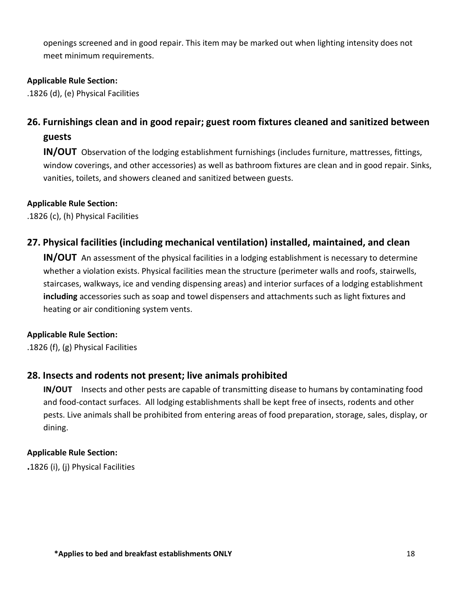openings screened and in good repair. This item may be marked out when lighting intensity does not meet minimum requirements.

### **Applicable Rule Section:**

.1826 (d), (e) Physical Facilities

# **26. Furnishings clean and in good repair; guest room fixtures cleaned and sanitized between guests**

**IN/OUT** Observation of the lodging establishment furnishings (includes furniture, mattresses, fittings, window coverings, and other accessories) as well as bathroom fixtures are clean and in good repair. Sinks, vanities, toilets, and showers cleaned and sanitized between guests.

### **Applicable Rule Section:**

.1826 (c), (h) Physical Facilities

## **27. Physical facilities (including mechanical ventilation) installed, maintained, and clean**

**IN/OUT** An assessment of the physical facilities in a lodging establishment is necessary to determine whether a violation exists. Physical facilities mean the structure (perimeter walls and roofs, stairwells, staircases, walkways, ice and vending dispensing areas) and interior surfaces of a lodging establishment **including** accessories such as soap and towel dispensers and attachments such as light fixtures and heating or air conditioning system vents.

### **Applicable Rule Section:**

.1826 (f), (g) Physical Facilities

## **28. Insects and rodents not present; live animals prohibited**

**IN/OUT** Insects and other pests are capable of transmitting disease to humans by contaminating food and food-contact surfaces.All lodging establishments shall be kept free of insects, rodents and other pests. Live animals shall be prohibited from entering areas of food preparation, storage, sales, display, or dining.

### **Applicable Rule Section:**

**.**1826 (i), (j) Physical Facilities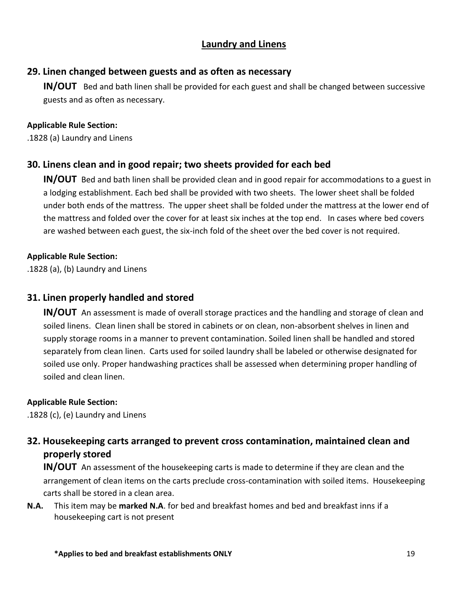### **Laundry and Linens**

### **29. Linen changed between guests and as often as necessary**

**IN/OUT** Bed and bath linen shall be provided for each guest and shall be changed between successive guests and as often as necessary.

#### **Applicable Rule Section:**

.1828 (a) Laundry and Linens

### **30. Linens clean and in good repair; two sheets provided for each bed**

**IN/OUT** Bed and bath linen shall be provided clean and in good repair for accommodations to a guest in a lodging establishment. Each bed shall be provided with two sheets. The lower sheet shall be folded under both ends of the mattress. The upper sheet shall be folded under the mattress at the lower end of the mattress and folded over the cover for at least six inches at the top end. In cases where bed covers are washed between each guest, the six-inch fold of the sheet over the bed cover is not required.

### **Applicable Rule Section:**

.1828 (a), (b) Laundry and Linens

### **31. Linen properly handled and stored**

**IN/OUT** An assessment is made of overall storage practices and the handling and storage of clean and soiled linens. Clean linen shall be stored in cabinets or on clean, non-absorbent shelves in linen and supply storage rooms in a manner to prevent contamination. Soiled linen shall be handled and stored separately from clean linen. Carts used for soiled laundry shall be labeled or otherwise designated for soiled use only. Proper handwashing practices shall be assessed when determining proper handling of soiled and clean linen.

### **Applicable Rule Section:**

.1828 (c), (e) Laundry and Linens

## **32. Housekeeping carts arranged to prevent cross contamination, maintained clean and properly stored**

**IN/OUT** An assessment of the housekeeping carts is made to determine if they are clean and the arrangement of clean items on the carts preclude cross-contamination with soiled items. Housekeeping carts shall be stored in a clean area.

**N.A.** This item may be **marked N.A**. for bed and breakfast homes and bed and breakfast inns if a housekeeping cart is not present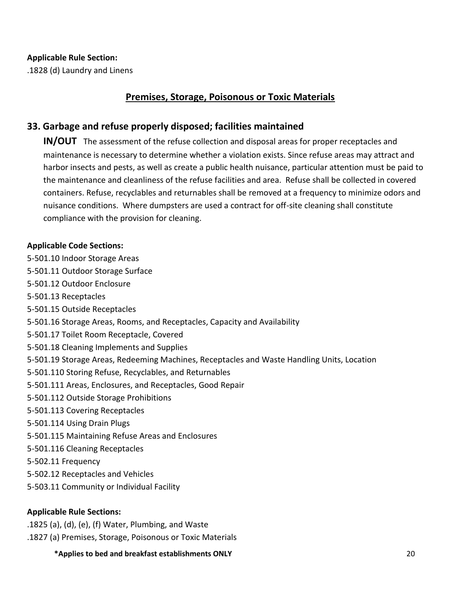#### **Applicable Rule Section:**

.1828 (d) Laundry and Linens

### **Premises, Storage, Poisonous or Toxic Materials**

### **33. Garbage and refuse properly disposed; facilities maintained**

**IN/OUT** The assessment of the refuse collection and disposal areas for proper receptacles and maintenance is necessary to determine whether a violation exists. Since refuse areas may attract and harbor insects and pests, as well as create a public health nuisance, particular attention must be paid to the maintenance and cleanliness of the refuse facilities and area. Refuse shall be collected in covered containers. Refuse, recyclables and returnables shall be removed at a frequency to minimize odors and nuisance conditions. Where dumpsters are used a contract for off-site cleaning shall constitute compliance with the provision for cleaning.

#### **Applicable Code Sections:**

- 5-501.10 Indoor Storage Areas
- 5-501.11 Outdoor Storage Surface
- 5-501.12 Outdoor Enclosure
- 5-501.13 Receptacles
- 5-501.15 Outside Receptacles
- 5-501.16 Storage Areas, Rooms, and Receptacles, Capacity and Availability
- 5-501.17 Toilet Room Receptacle, Covered
- 5-501.18 Cleaning Implements and Supplies
- 5-501.19 Storage Areas, Redeeming Machines, Receptacles and Waste Handling Units, Location
- 5-501.110 Storing Refuse, Recyclables, and Returnables
- 5-501.111 Areas, Enclosures, and Receptacles, Good Repair
- 5-501.112 Outside Storage Prohibitions
- 5-501.113 Covering Receptacles
- 5-501.114 Using Drain Plugs
- 5-501.115 Maintaining Refuse Areas and Enclosures
- 5-501.116 Cleaning Receptacles
- 5-502.11 Frequency
- 5-502.12 Receptacles and Vehicles
- 5-503.11 Community or Individual Facility

### **Applicable Rule Sections:**

- .1825 (a), (d), (e), (f) Water, Plumbing, and Waste
- .1827 (a) Premises, Storage, Poisonous or Toxic Materials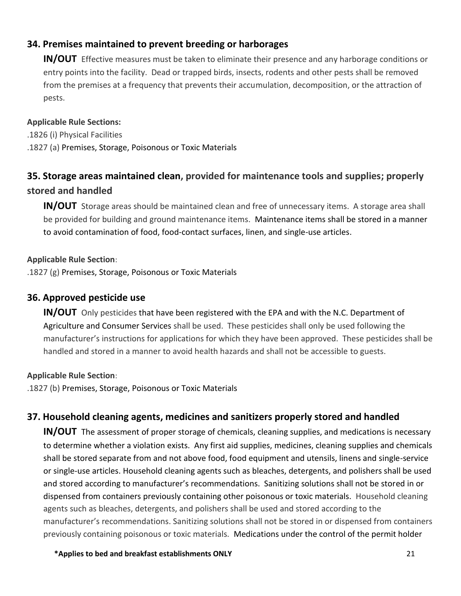## **34. Premises maintained to prevent breeding or harborages**

**IN/OUT** Effective measures must be taken to eliminate their presence and any harborage conditions or entry points into the facility. Dead or trapped birds, insects, rodents and other pests shall be removed from the premises at a frequency that prevents their accumulation, decomposition, or the attraction of pests.

#### **Applicable Rule Sections:**

.1826 (i) Physical Facilities .1827 (a) Premises, Storage, Poisonous or Toxic Materials

# **35. Storage areas maintained clean, provided for maintenance tools and supplies; properly stored and handled**

**IN/OUT** Storage areas should be maintained clean and free of unnecessary items. A storage area shall be provided for building and ground maintenance items. Maintenance items shall be stored in a manner to avoid contamination of food, food-contact surfaces, linen, and single-use articles.

#### **Applicable Rule Section**:

.1827 (g) Premises, Storage, Poisonous or Toxic Materials

### **36. Approved pesticide use**

**IN/OUT** Only pesticides that have been registered with the EPA and with the N.C. Department of Agriculture and Consumer Services shall be used. These pesticides shall only be used following the manufacturer's instructions for applications for which they have been approved. These pesticides shall be handled and stored in a manner to avoid health hazards and shall not be accessible to guests.

### **Applicable Rule Section**:

.1827 (b) Premises, Storage, Poisonous or Toxic Materials

### **37. Household cleaning agents, medicines and sanitizers properly stored and handled**

**IN/OUT** The assessment of proper storage of chemicals, cleaning supplies, and medications is necessary to determine whether a violation exists. Any first aid supplies, medicines, cleaning supplies and chemicals shall be stored separate from and not above food, food equipment and utensils, linens and single-service or single-use articles. Household cleaning agents such as bleaches, detergents, and polishers shall be used and stored according to manufacturer's recommendations. Sanitizing solutions shall not be stored in or dispensed from containers previously containing other poisonous or toxic materials. Household cleaning agents such as bleaches, detergents, and polishers shall be used and stored according to the manufacturer's recommendations. Sanitizing solutions shall not be stored in or dispensed from containers previously containing poisonous or toxic materials. Medications under the control of the permit holder